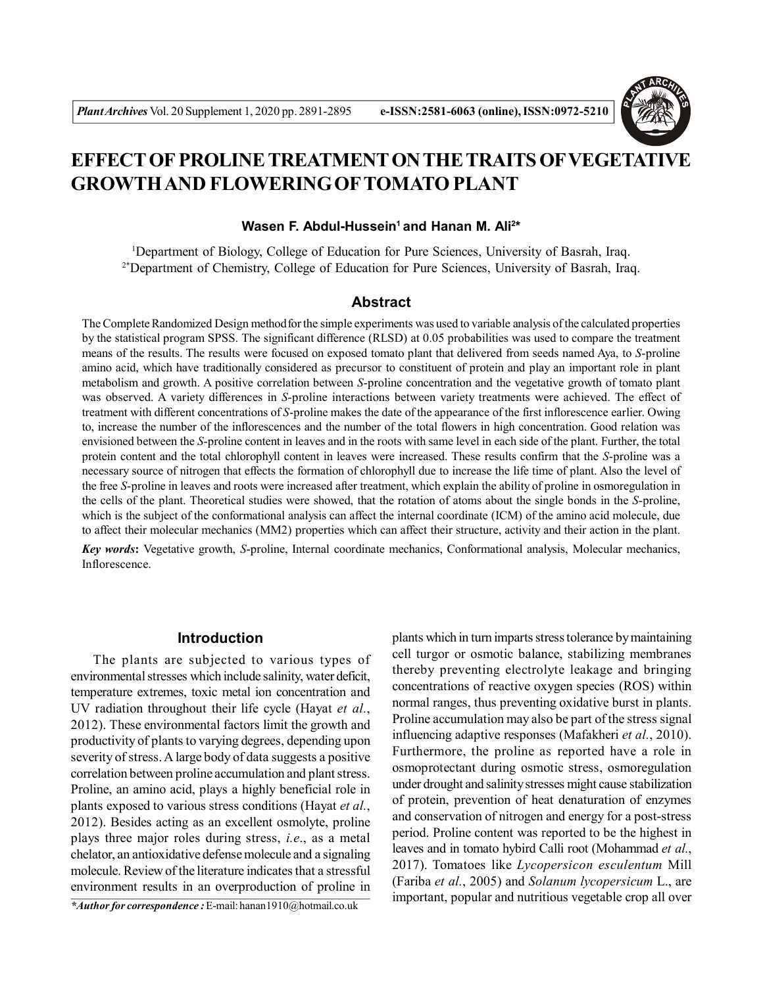

# **EFFECT OFPROLINE TREATMENT ON THE TRAITS OFVEGETATIVE GROWTH AND FLOWERING OFTOMATO PLANT**

## **Wasen F. Abdul-Hussein<sup>1</sup>and Hanan M. Ali<sup>2</sup> \***

<sup>1</sup>Department of Biology, College of Education for Pure Sciences, University of Basrah, Iraq. <sup>2\*</sup>Department of Chemistry, College of Education for Pure Sciences, University of Basrah, Iraq.

# **Abstract**

The Complete Randomized Design methodfor the simple experiments was used to variable analysis of the calculated properties by the statistical program SPSS. The significant difference (RLSD) at 0.05 probabilities was used to compare the treatment means of the results. The results were focused on exposed tomato plant that delivered from seeds named Aya, to *S*-proline amino acid, which have traditionally considered as precursor to constituent of protein and play an important role in plant metabolism and growth. A positive correlation between *S*-proline concentration and the vegetative growth of tomato plant was observed. A variety differences in *S*-proline interactions between variety treatments were achieved. The effect of treatment with different concentrations of *S*-proline makes the date of the appearance of the first inflorescence earlier. Owing to, increase the number of the inflorescences and the number of the total flowers in high concentration. Good relation was envisioned between the *S*-proline content in leaves and in the roots with same level in each side of the plant. Further, the total protein content and the total chlorophyll content in leaves were increased. These results confirm that the *S*-proline was a necessary source of nitrogen that effects the formation of chlorophyll due to increase the life time of plant. Also the level of the free *S*-proline in leaves and roots were increased after treatment, which explain the ability of proline in osmoregulation in the cells of the plant. Theoretical studies were showed, that the rotation of atoms about the single bonds in the *S*-proline, which is the subject of the conformational analysis can affect the internal coordinate (ICM) of the amino acid molecule, due to affect their molecular mechanics (MM2) properties which can affect their structure, activity and their action in the plant.

*Key words***:** Vegetative growth, *S*-proline, Internal coordinate mechanics, Conformational analysis, Molecular mechanics, Inflorescence.

## **Introduction**

The plants are subjected to various types of environmental stresses which include salinity, water deficit, temperature extremes, toxic metal ion concentration and UV radiation throughout their life cycle (Hayat *et al.*, 2012). These environmental factors limit the growth and productivity of plants to varying degrees, depending upon severity of stress. A large body of data suggests a positive correlation between proline accumulation and plant stress. Proline, an amino acid, plays a highly beneficial role in plants exposed to various stress conditions (Hayat *et al.*, 2012). Besides acting as an excellent osmolyte, proline plays three major roles during stress, *i.e*., as a metal chelator, an antioxidative defense molecule and a signaling molecule. Review of the literature indicates that a stressful environment results in an overproduction of proline in

*\*Author for correspondence :* E-mail: hanan1910@hotmail.co.uk

plants which in turn imparts stress tolerance by maintaining cell turgor or osmotic balance, stabilizing membranes thereby preventing electrolyte leakage and bringing concentrations of reactive oxygen species (ROS) within normal ranges, thus preventing oxidative burst in plants. Proline accumulation may also be part of the stress signal influencing adaptive responses (Mafakheri *et al.*, 2010). Furthermore, the proline as reported have a role in osmoprotectant during osmotic stress, osmoregulation under drought and salinity stresses might cause stabilization of protein, prevention of heat denaturation of enzymes and conservation of nitrogen and energy for a post-stress period. Proline content was reported to be the highest in leaves and in tomato hybird Calli root (Mohammad *et al.*, 2017). Tomatoes like *Lycopersicon esculentum* Mill (Fariba *et al.*, 2005) and *Solanum lycopersicum* L., are important, popular and nutritious vegetable crop all over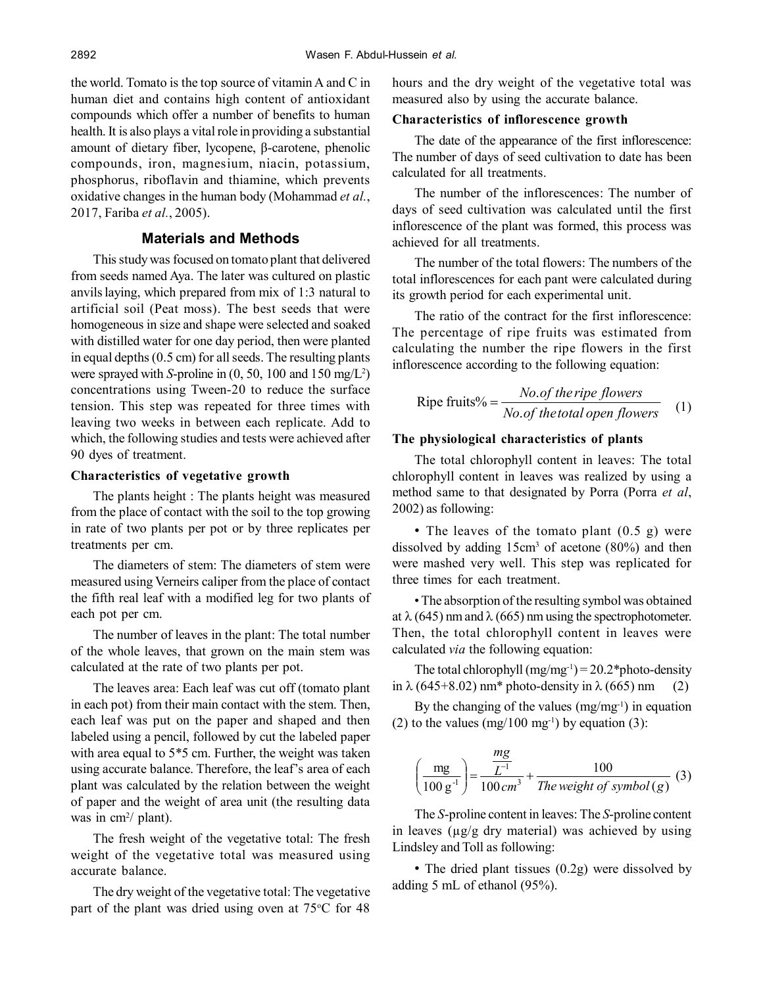the world. Tomato is the top source of vitamin A and C in human diet and contains high content of antioxidant compounds which offer a number of benefits to human health. It is also plays a vital role in providing a substantial amount of dietary fiber, lycopene, β-carotene, phenolic compounds, iron, magnesium, niacin, potassium, phosphorus, riboflavin and thiamine, which prevents oxidative changes in the human body (Mohammad *et al.*, 2017, Fariba *et al.*, 2005).

# **Materials and Methods**

This study was focused on tomato plant that delivered from seeds named Aya. The later was cultured on plastic anvilslaying, which prepared from mix of 1:3 natural to artificial soil (Peat moss). The best seeds that were homogeneous in size and shape were selected and soaked with distilled water for one day period, then were planted in equal depths (0.5 cm) for all seeds. The resulting plants were sprayed with *S*-proline in  $(0, 50, 100$  and  $150$  mg/ $L^2$ ) concentrations using Tween-20 to reduce the surface tension. This step was repeated for three times with leaving two weeks in between each replicate. Add to which, the following studies and tests were achieved after 90 dyes of treatment.

#### **Characteristics of vegetative growth**

The plants height : The plants height was measured from the place of contact with the soil to the top growing in rate of two plants per pot or by three replicates per treatments per cm.

The diameters of stem: The diameters of stem were measured using Verneirs caliper from the place of contact the fifth real leaf with a modified leg for two plants of each pot per cm.

The number of leaves in the plant: The total number of the whole leaves, that grown on the main stem was calculated at the rate of two plants per pot.

The leaves area: Each leaf was cut off (tomato plant in each pot) from their main contact with the stem. Then, each leaf was put on the paper and shaped and then labeled using a pencil, followed by cut the labeled paper with area equal to 5\*5 cm. Further, the weight was taken using accurate balance. Therefore, the leaf's area of each plant was calculated by the relation between the weight of paper and the weight of area unit (the resulting data was in cm<sup>2</sup>/ plant).

The fresh weight of the vegetative total: The fresh weight of the vegetative total was measured using accurate balance.

The dry weight of the vegetative total: The vegetative part of the plant was dried using oven at  $75^{\circ}$ C for 48 hours and the dry weight of the vegetative total was measured also by using the accurate balance.

#### **Characteristics of inflorescence growth**

The date of the appearance of the first inflorescence: The number of days of seed cultivation to date has been calculated for all treatments.

The number of the inflorescences: The number of days of seed cultivation was calculated until the first inflorescence of the plant was formed, this process was achieved for all treatments.

The number of the total flowers: The numbers of the total inflorescences for each pant were calculated during its growth period for each experimental unit.

The ratio of the contract for the first inflorescence: The percentage of ripe fruits was estimated from calculating the number the ripe flowers in the first inflorescence according to the following equation:

Ripe fruits% = 
$$
\frac{No. of the ripel, \text{lower}}{No. of the total open flowers}
$$
 (1)

#### **The physiological characteristics of plants**

The total chlorophyll content in leaves: The total chlorophyll content in leaves was realized by using a method same to that designated by Porra (Porra *et al*, 2002) as following:

• The leaves of the tomato plant  $(0.5 \text{ g})$  were dissolved by adding  $15 \text{cm}^3$  of acetone (80%) and then were mashed very well. This step was replicated for three times for each treatment.

• The absorption of the resulting symbol was obtained at  $\lambda$  (645) nm and  $\lambda$  (665) nm using the spectrophotometer. Then, the total chlorophyll content in leaves were calculated *via* the following equation:

The total chlorophyll  $(mg/mg^{-1}) = 20.2*$ photo-density in  $\lambda$  (645+8.02) nm\* photo-density in  $\lambda$  (665) nm (2)

By the changing of the values  $(mg/mg^{-1})$  in equation (2) to the values  $(mg/100 \text{ mg}^{-1})$  by equation (3):

$$
\left(\frac{mg}{100 g^{-1}}\right) = \frac{\frac{mg}{L^{-1}}}{100 cm^3} + \frac{100}{The weight of symbol (g)} (3)
$$

The *S*-proline content in leaves: The *S*-proline content in leaves ( $\mu$ g/g dry material) was achieved by using Lindsley and Toll as following:

• The dried plant tissues (0.2g) were dissolved by adding 5 mL of ethanol (95%).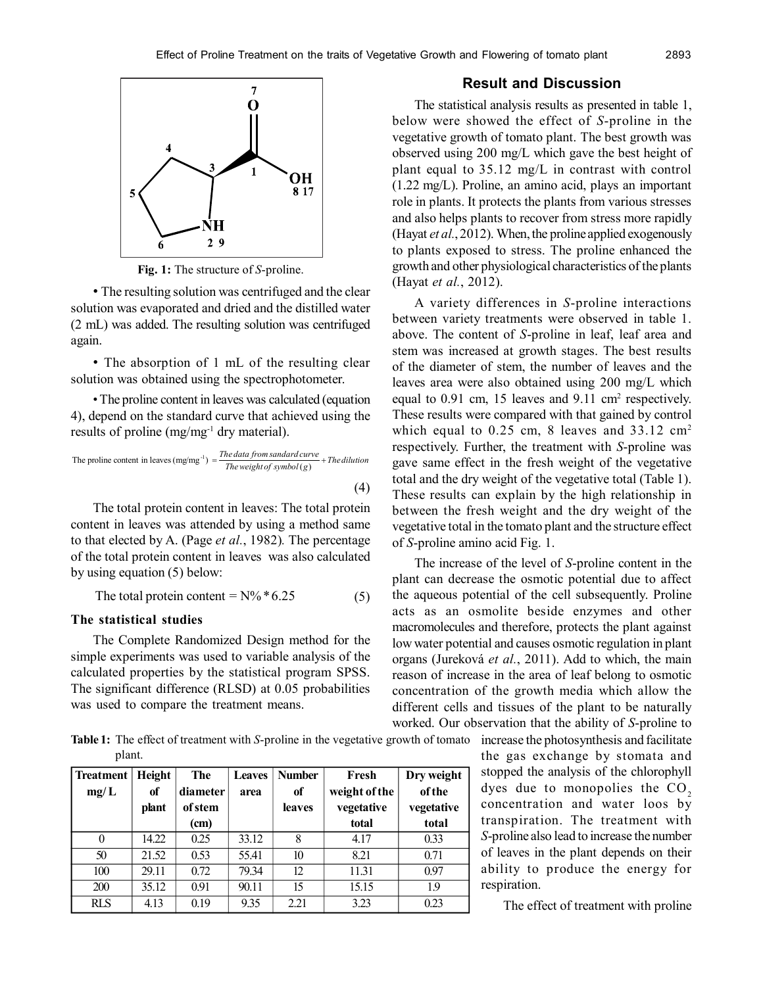

**Fig. 1:** The structure of *S*-proline.

• The resulting solution was centrifuged and the clear solution was evaporated and dried and the distilled water (2 mL) was added. The resulting solution was centrifuged again.

• The absorption of 1 mL of the resulting clear solution was obtained using the spectrophotometer.

• The proline content in leaves was calculated (equation 4), depend on the standard curve that achieved using the results of proline (mg/mg<sup>-1</sup> dry material).

The proline content in leaves (mg/mg<sup>-1</sup>) = 
$$
\frac{The data from sandard curve}{The weight of symbol (g)} + The dilution
$$
\n(4)

The total protein content in leaves: The total protein content in leaves was attended by using a method same to that elected by A. (Page *et al.*, 1982)*.* The percentage of the total protein content in leaves was also calculated by using equation (5) below:

The total protein content =  $N\% * 6.25$  (5)

## **The statistical studies**

The Complete Randomized Design method for the simple experiments was used to variable analysis of the calculated properties by the statistical program SPSS. The significant difference (RLSD) at 0.05 probabilities was used to compare the treatment means.

**Table 1:** The effect of treatment with *S*-proline in the vegetative growth of tomato increase the photosynthesis and facilitate plant.

| Treatment  | Height | The      | <b>Leaves</b> | <b>Number</b> | Fresh         | Dry weight    |
|------------|--------|----------|---------------|---------------|---------------|---------------|
| mg/L       | of     | diameter | area          | of            | weight of the | <b>of the</b> |
|            | plant  | of stem  |               | leaves        | vegetative    | vegetative    |
|            |        | (cm)     |               |               | total         | total         |
| $\theta$   | 14.22  | 0.25     | 33.12         | 8             | 4.17          | 0.33          |
| 50         | 21.52  | 0.53     | 55.41         | 10            | 8.21          | 0.71          |
| 100        | 29.11  | 0.72     | 79.34         | 12            | 11.31         | 0.97          |
| 200        | 35.12  | 0.91     | 90.11         | 15            | 15.15         | 1.9           |
| <b>RLS</b> | 4.13   | 0.19     | 9.35          | 2.21          | 3.23          | 0.23          |

#### **Result and Discussion**

The statistical analysis results as presented in table 1, below were showed the effect of *S*-proline in the vegetative growth of tomato plant. The best growth was observed using 200 mg/L which gave the best height of plant equal to 35.12 mg/L in contrast with control (1.22 mg/L). Proline, an amino acid, plays an important role in plants. It protects the plants from various stresses and also helps plants to recover from stress more rapidly (Hayat *et al.*, 2012). When, the proline applied exogenously to plants exposed to stress. The proline enhanced the growth and other physiological characteristics of the plants (Hayat *et al.*, 2012).

A variety differences in *S*-proline interactions between variety treatments were observed in table 1. above. The content of *S*-proline in leaf, leaf area and stem was increased at growth stages. The best results of the diameter of stem, the number of leaves and the leaves area were also obtained using 200 mg/L which equal to  $0.91$  cm, 15 leaves and  $9.11$  cm<sup>2</sup> respectively. These results were compared with that gained by control which equal to  $0.25$  cm, 8 leaves and  $33.12$  cm<sup>2</sup> respectively. Further, the treatment with *S*-proline was gave same effect in the fresh weight of the vegetative total and the dry weight of the vegetative total (Table 1). These results can explain by the high relationship in between the fresh weight and the dry weight of the vegetative total in the tomato plant and the structure effect of *S*-proline amino acid Fig. 1.

The increase of the level of *S*-proline content in the plant can decrease the osmotic potential due to affect the aqueous potential of the cell subsequently. Proline acts as an osmolite beside enzymes and other macromolecules and therefore, protects the plant against low water potential and causes osmotic regulation in plant organs (Jureková *et al.*, 2011). Add to which, the main reason of increase in the area of leaf belong to osmotic concentration of the growth media which allow the different cells and tissues of the plant to be naturally worked. Our observation that the ability of *S*-proline to

> the gas exchange by stomata and stopped the analysis of the chlorophyll dyes due to monopolies the  $CO<sub>2</sub>$ concentration and water loos by transpiration. The treatment with *S*-proline also lead to increase the number of leaves in the plant depends on their ability to produce the energy for respiration.

> > The effect of treatment with proline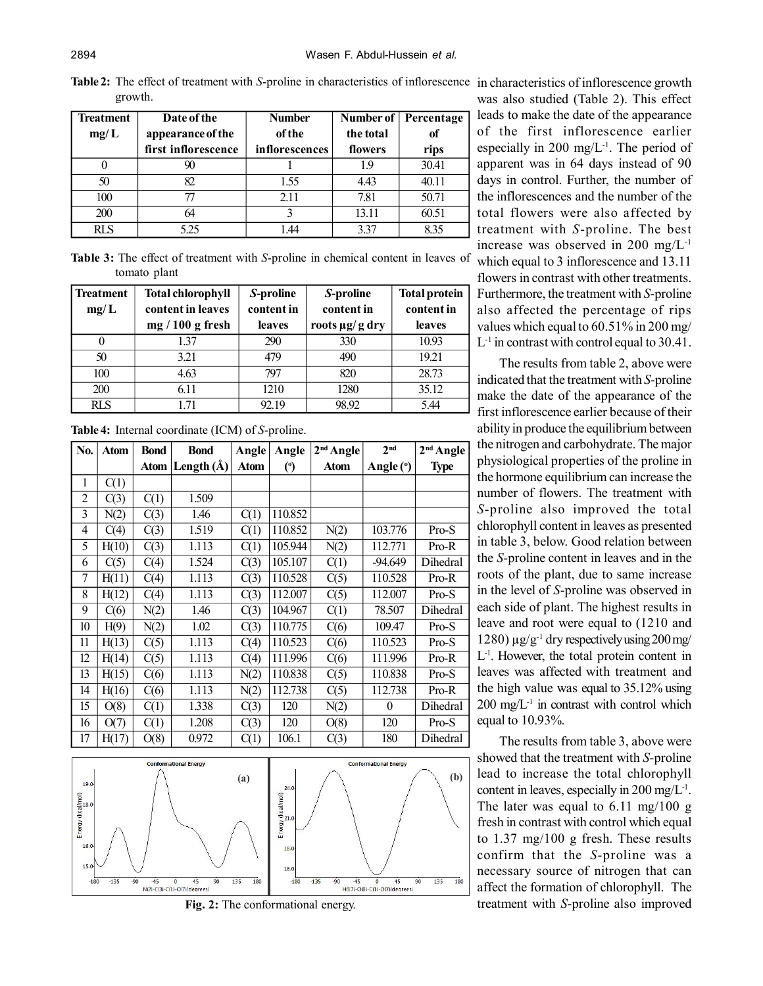Table 2: The effect of treatment with *S*-proline in characteristics of inflorescence in characteristics of inflorescence growth growth.

| <b>Treatment</b><br>mg/L | Date of the<br>appearance of the | <b>Number</b><br>of the | the total | Number of Percentage<br>of |
|--------------------------|----------------------------------|-------------------------|-----------|----------------------------|
|                          | first inflorescence              | <i>inflorescences</i>   | flowers   | rips                       |
| 0                        | 90                               |                         | 19        | 30.41                      |
| 50                       | 82                               | 1.55                    | 4.43      | 40.11                      |
| 100                      | 77                               | 2.11                    | 7.81      | 50.71                      |
| 200                      | 64                               |                         | 13.11     | 60.51                      |
| RLS                      | 5.25                             | 44                      | 3.37      | 835                        |

**Table 3:** The effect of treatment with *S*-proline in chemical content in leaves of tomato plant

| <b>Treatment</b> | <b>Total chlorophyll</b> | S-proline  | S-proline           | <b>Total protein</b> |  |
|------------------|--------------------------|------------|---------------------|----------------------|--|
| mg/L             | content in leaves        | content in | content in          | content in           |  |
|                  | $mg/100 g$ fresh         | leaves     | roots $\mu$ g/g dry | leaves               |  |
|                  | 1.37                     | 290        | 330                 | 10.93                |  |
| 50               | 3.21                     | 479        | 490                 | 19.21                |  |
| 100              | 4.63                     | 797        | 820                 | 28.73                |  |
| 200              | 6.11                     | 1210       | 1280                | 35.12                |  |
| <b>RLS</b>       | 171                      | 92.19      | 98.92               | 5.44                 |  |

**Table 4:** Internal coordinate (ICM) of *S*-proline.

| No.            | <b>Atom</b> | <b>Bond</b> | <b>Bond</b>    | Angle       | Angle          | $2nd$ Angle | 2 <sub>nd</sub> | 2 <sup>nd</sup> Angle |
|----------------|-------------|-------------|----------------|-------------|----------------|-------------|-----------------|-----------------------|
|                |             | Atom        | Length $(\AA)$ | <b>Atom</b> | $\binom{0}{0}$ | <b>Atom</b> | Angle (°)       | <b>Type</b>           |
| 1              | C(1)        |             |                |             |                |             |                 |                       |
| $\overline{2}$ | C(3)        | C(1)        | 1.509          |             |                |             |                 |                       |
| 3              | N(2)        | C(3)        | 1.46           | C(1)        | 110.852        |             |                 |                       |
| 4              | C(4)        | C(3)        | 1.519          | C(1)        | 110.852        | N(2)        | 103.776         | $Pro-S$               |
| 5              | H(10)       | C(3)        | 1.113          | C(1)        | 105.944        | N(2)        | 112.771         | $Pro-R$               |
| 6              | C(5)        | C(4)        | 1.524          | C(3)        | 105.107        | C(1)        | -94.649         | Dihedral              |
| 7              | H(11)       | C(4)        | 1.113          | C(3)        | 110.528        | C(5)        | 110.528         | Pro-R                 |
| 8              | H(12)       | C(4)        | 1.113          | C(3)        | 112.007        | C(5)        | 112.007         | Pro-S                 |
| 9              | C(6)        | N(2)        | 1.46           | C(3)        | 104.967        | C(1)        | 78.507          | Dihedral              |
| 10             | H(9)        | N(2)        | 1.02           | C(3)        | 110.775        | C(6)        | 109.47          | Pro-S                 |
| 11             | H(13)       | C(5)        | 1.113          | C(4)        | 110.523        | C(6)        | 110.523         | $Pro-S$               |
| 12             | H(14)       | C(5)        | 1.113          | C(4)        | 111.996        | C(6)        | 111.996         | Pro-R                 |
| 13             | H(15)       | C(6)        | 1.113          | N(2)        | 110.838        | C(5)        | 110.838         | Pro-S                 |
| 14             | H(16)       | C(6)        | 1.113          | N(2)        | 112.738        | C(5)        | 112.738         | Pro-R                 |
| 15             | O(8)        | C(1)        | 1.338          | C(3)        | 120            | N(2)        | $\Omega$        | Dihedral              |
| 16             | O(7)        | C(1)        | 1.208          | C(3)        | 120            | O(8)        | 120             | Pro-S                 |
| 17             | H(17)       | O(8)        | 0.972          | C(1)        | 106.1          | C(3)        | 180             | Dihedral              |



**Fig. 2:** The conformational energy.

was also studied (Table 2). This effect leads to make the date of the appearance of the first inflorescence earlier especially in 200 mg/ $L^{-1}$ . The period of apparent was in 64 days instead of 90 days in control. Further, the number of the inflorescences and the number of the total flowers were also affected by treatment with *S*-proline. The best increase was observed in 200 mg/L-1

which equal to 3 inflorescence and 13.11 flowers in contrast with other treatments. Furthermore, the treatment with *S*-proline also affected the percentage of rips values which equal to 60.51% in 200 mg/ L -1 in contrast with control equal to 30.41.

The results from table 2, above were indicated that the treatment with *S*-proline make the date of the appearance of the first inflorescence earlier because of their ability in produce the equilibrium between the nitrogen and carbohydrate. The major physiological properties of the proline in the hormone equilibrium can increase the number of flowers. The treatment with *S*-proline also improved the total chlorophyll content in leaves as presented in table 3, below. Good relation between the *S*-proline content in leaves and in the roots of the plant, due to same increase in the level of *S*-proline was observed in each side of plant. The highest results in leave and root were equal to (1210 and 1280)  $\mu$ g/g<sup>-1</sup> dry respectively using 200 mg/ L -1. However, the total protein content in leaves was affected with treatment and the high value was equal to 35.12% using  $200 \text{ mg/L}$ <sup>1</sup> in contrast with control which equal to 10.93%.

The results from table 3, above were showed that the treatment with *S*-proline lead to increase the total chlorophyll content in leaves, especially in 200 mg/ $L<sup>-1</sup>$ . The later was equal to 6.11 mg/100 g fresh in contrast with control which equal to 1.37 mg/100 g fresh. These results confirm that the *S*-proline was a necessary source of nitrogen that can affect the formation of chlorophyll. The treatment with *S*-proline also improved